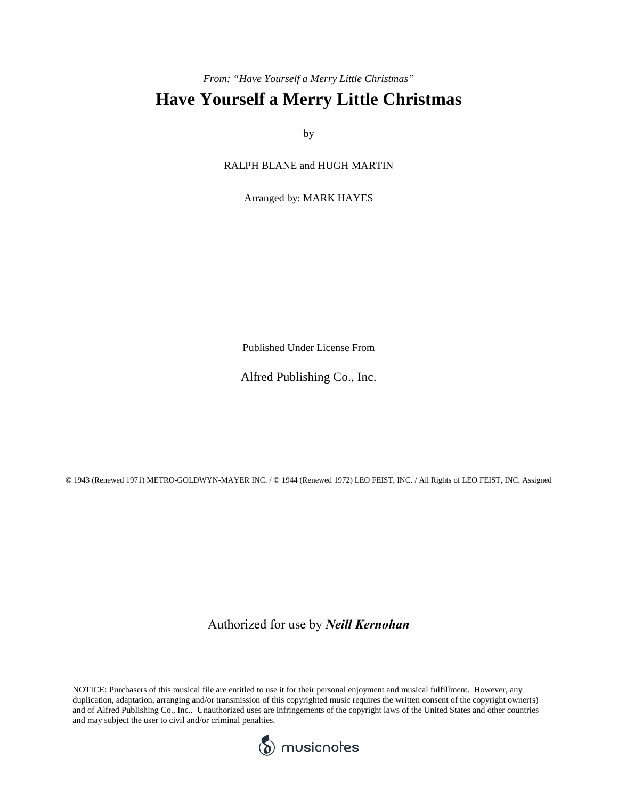## *From: "Have Yourself a Merry Little Christmas"* **Have Yourself a Merry Little Christmas**

by

RALPH BLANE and HUGH MARTIN

Arranged by: MARK HAYES

Published Under License From

Alfred Publishing Co., Inc.

© 1943 (Renewed 1971) METRO-GOLDWYN-MAYER INC. / © 1944 (Renewed 1972) LEO FEIST, INC. / All Rights of LEO FEIST, INC. Assigned

Authorized for use by *Neill Kernohan*

NOTICE: Purchasers of this musical file are entitled to use it for their personal enjoyment and musical fulfillment. However, any duplication, adaptation, arranging and/or transmission of this copyrighted music requires the written consent of the copyright owner(s) and of Alfred Publishing Co., Inc.. Unauthorized uses are infringements of the copyright laws of the United States and other countries and may subject the user to civil and/or criminal penalties.

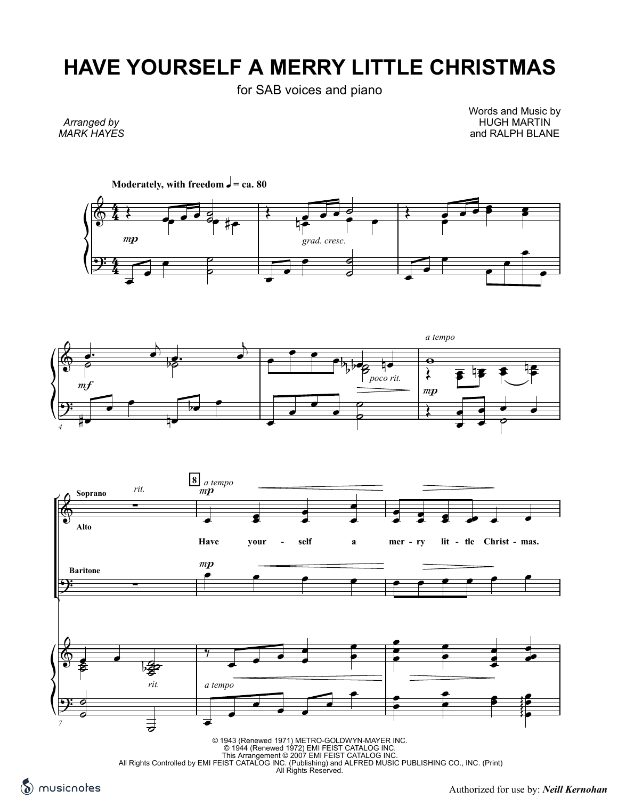## **HAVE YOURSELF A MERRY LITTLE CHRISTMAS**

for SAB voices and piano

*Arranged by MARK HAYES* Words and Music by HUGH MARTIN and RALPH BLANE







© 1943 (Renewed 1971) METRO-GOLDWYN-MAYER INC.<br>⊘ 1944 (Renewed 1972) EMI FEIST CATALOG INC.<br>This Arrangement © 2007 EMI FEIST CATALOG INC.<br>All Rights Controlled by EMI FEIST CATALOG INC. (Publishing) and ALFRED MUSIC PUBL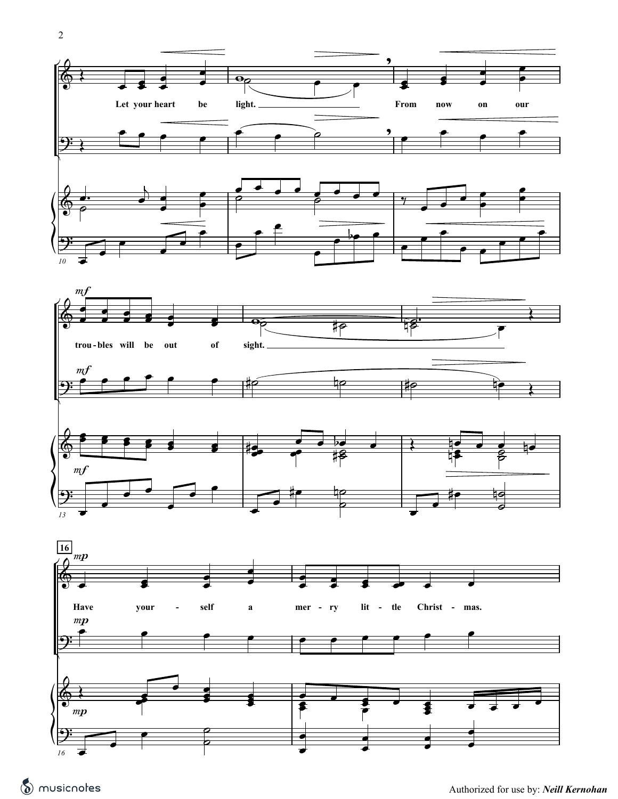2





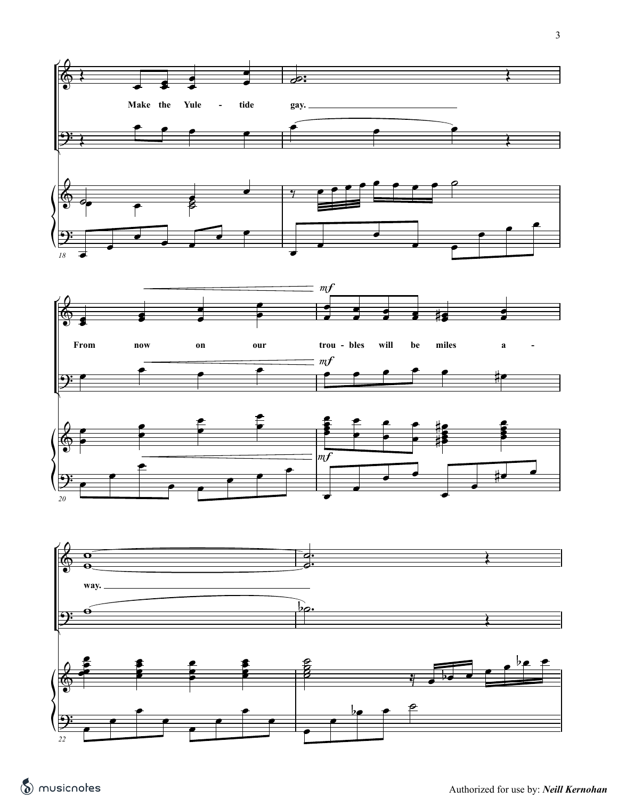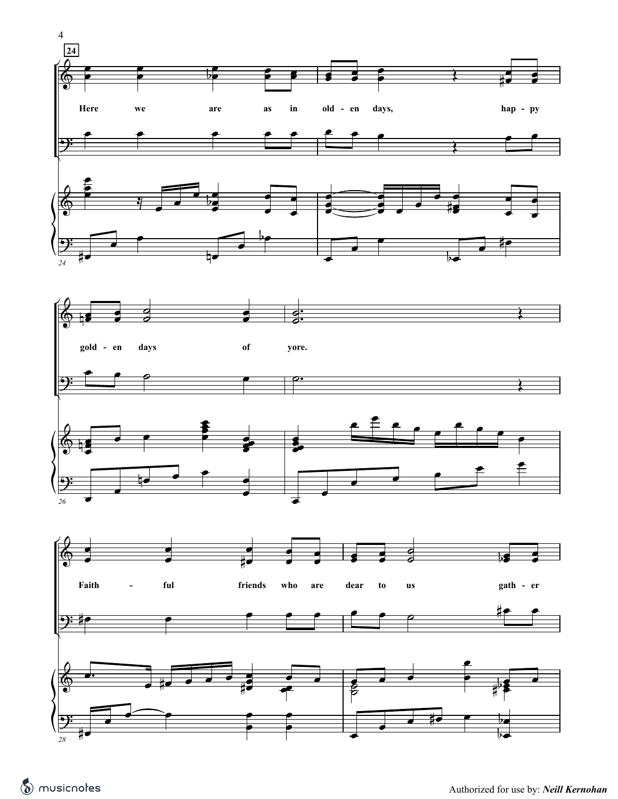

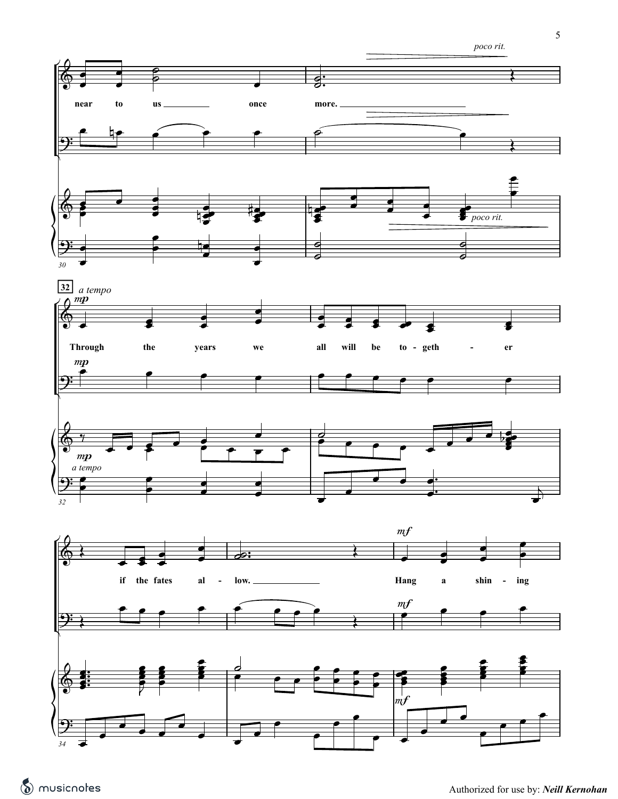5

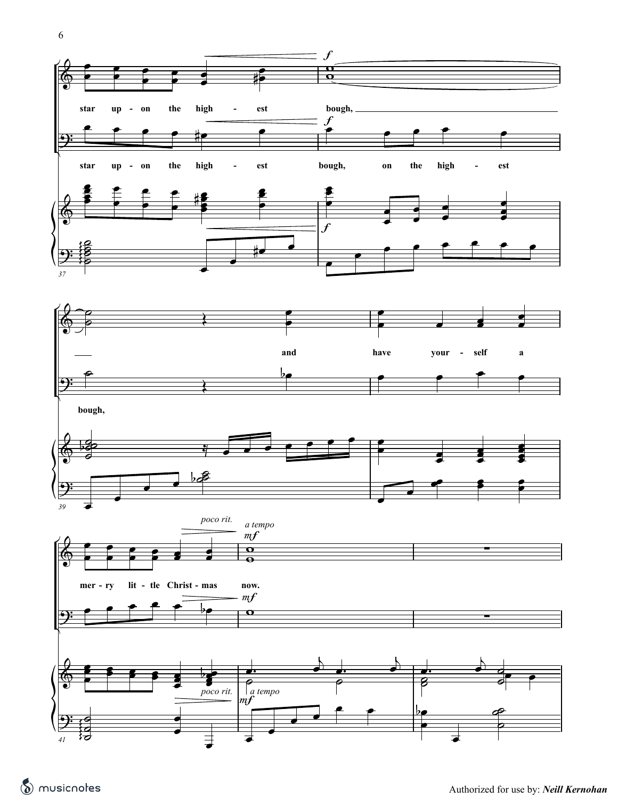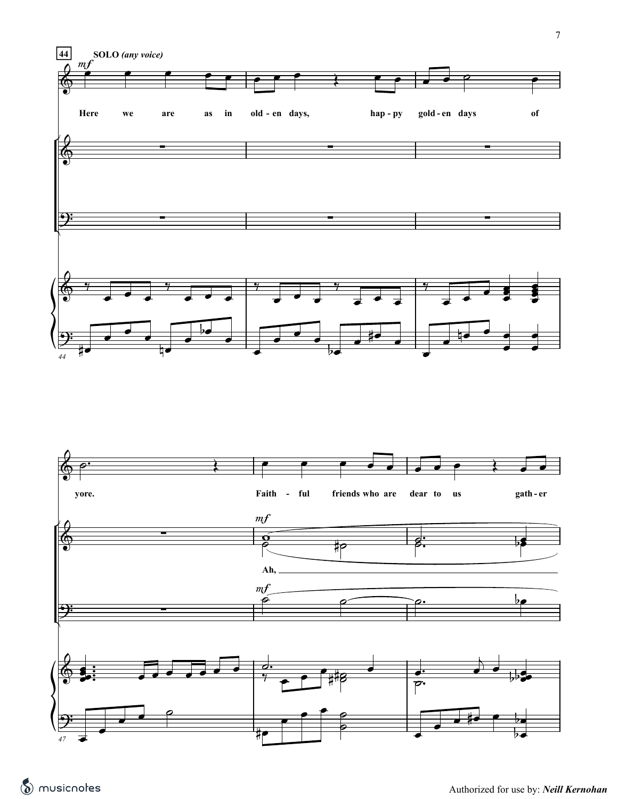

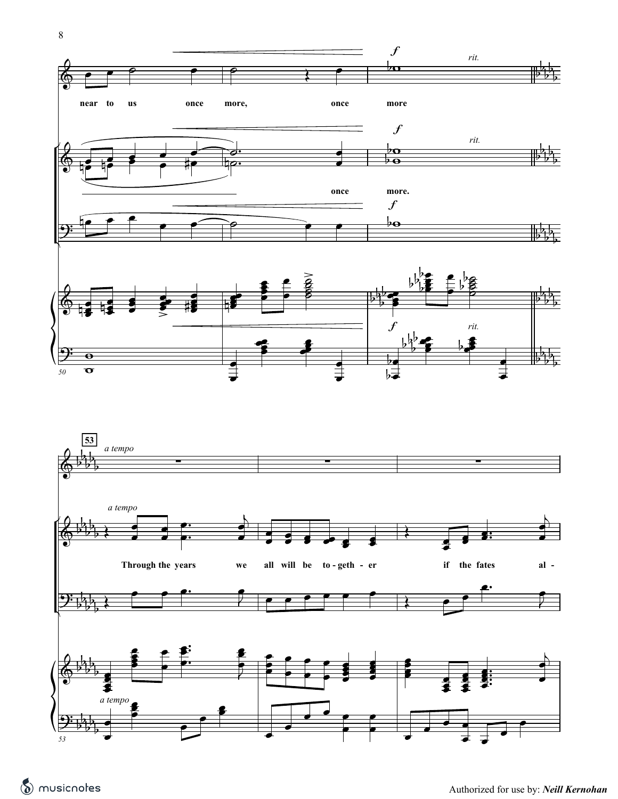



8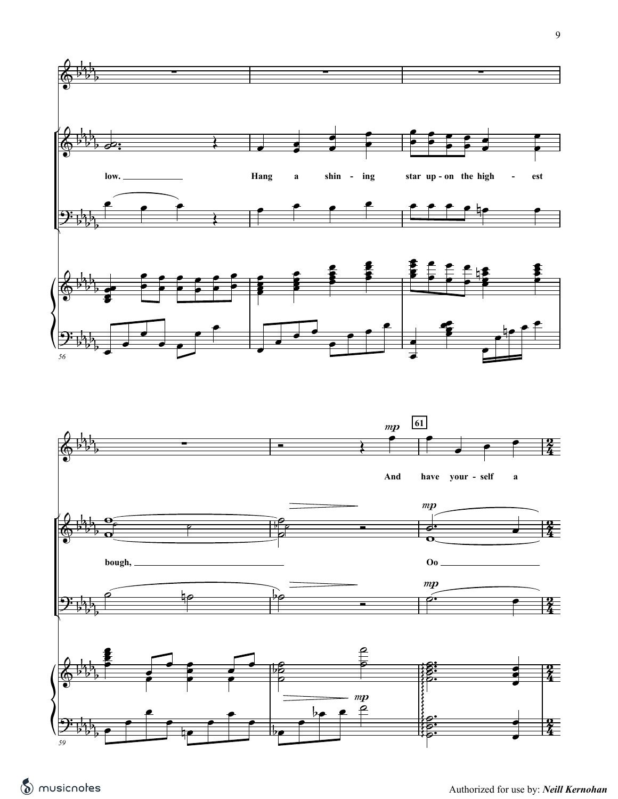